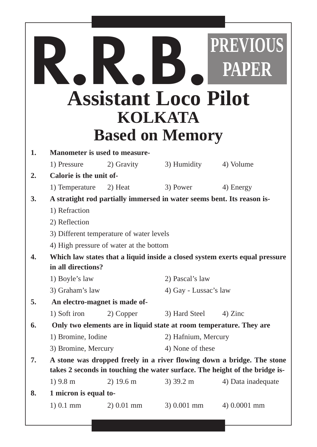|    |                                          |                                         | <b>Assistant Loco Pilot</b><br>KOLKATA                                 | <b>PREVIOUS</b><br><b>PAPER</b>                                             |  |
|----|------------------------------------------|-----------------------------------------|------------------------------------------------------------------------|-----------------------------------------------------------------------------|--|
|    |                                          |                                         | <b>Based on Memory</b>                                                 |                                                                             |  |
| 1. |                                          | <b>Manometer is used to measure-</b>    |                                                                        |                                                                             |  |
|    | 1) Pressure                              | 2) Gravity                              | 3) Humidity                                                            | 4) Volume                                                                   |  |
| 2. | Calorie is the unit of-                  |                                         |                                                                        |                                                                             |  |
|    | 1) Temperature                           | 2) Heat                                 | 3) Power                                                               | 4) Energy                                                                   |  |
| 3. |                                          |                                         | A stratight rod partially immersed in water seems bent. Its reason is- |                                                                             |  |
|    | 1) Refraction                            |                                         |                                                                        |                                                                             |  |
|    | 2) Reflection                            |                                         |                                                                        |                                                                             |  |
|    | 3) Different temperature of water levels |                                         |                                                                        |                                                                             |  |
|    |                                          | 4) High pressure of water at the bottom |                                                                        |                                                                             |  |
| 4. | in all directions?                       |                                         |                                                                        | Which law states that a liquid inside a closed system exerts equal pressure |  |
|    | 1) Boyle's law                           |                                         | 2) Pascal's law                                                        |                                                                             |  |
|    | 3) Graham's law                          |                                         | 4) Gay - Lussac's law                                                  |                                                                             |  |
| 5. |                                          | An electro-magnet is made of-           |                                                                        |                                                                             |  |
|    | 1) Soft iron                             | 2) Copper                               | 3) Hard Steel                                                          | 4) Zinc                                                                     |  |
| 6. |                                          |                                         | Only two elements are in liquid state at room temperature. They are    |                                                                             |  |
|    | 1) Bromine, Iodine                       |                                         | 2) Hafnium, Mercury                                                    |                                                                             |  |
|    | 3) Bromine, Mercury                      |                                         | 4) None of these                                                       |                                                                             |  |
| 7. |                                          |                                         |                                                                        | A stone was dropped freely in a river flowing down a bridge. The stone      |  |
|    |                                          |                                         |                                                                        | takes 2 seconds in touching the water surface. The height of the bridge is- |  |
|    | $1)$ 9.8 m                               | $2)$ 19.6 m                             | $3)$ 39.2 m                                                            | 4) Data inadequate                                                          |  |
| 8. | 1 micron is equal to-                    |                                         |                                                                        |                                                                             |  |
|    | 1) 0.1 mm                                | $2) 0.01$ mm                            | $3) 0.001$ mm                                                          | 4) 0.0001 mm                                                                |  |
|    |                                          |                                         |                                                                        |                                                                             |  |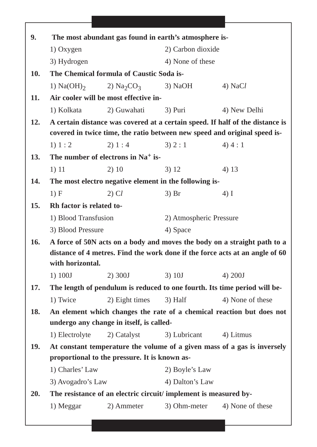| 9.         | The most abundant gas found in earth's atmosphere is-                        |                                                                  |                         |                                                                               |  |
|------------|------------------------------------------------------------------------------|------------------------------------------------------------------|-------------------------|-------------------------------------------------------------------------------|--|
|            | 1) Oxygen                                                                    |                                                                  | 2) Carbon dioxide       |                                                                               |  |
|            | 3) Hydrogen                                                                  |                                                                  | 4) None of these        |                                                                               |  |
| <b>10.</b> | The Chemical formula of Caustic Soda is-                                     |                                                                  |                         |                                                                               |  |
|            |                                                                              | 1) $Na(OH)_2$ 2) $Na_2CO_3$                                      | $3)$ NaOH               | $4)$ NaCl                                                                     |  |
| 11.        |                                                                              | Air cooler will be most effective in-                            |                         |                                                                               |  |
|            | 1) Kolkata                                                                   | 2) Guwahati                                                      | 3) Puri                 | 4) New Delhi                                                                  |  |
| 12.        |                                                                              |                                                                  |                         | A certain distance was covered at a certain speed. If half of the distance is |  |
|            |                                                                              |                                                                  |                         | covered in twice time, the ratio between new speed and original speed is-     |  |
|            | 1) 1: 2                                                                      | 2) 1 : 4                                                         | 3) 2 : 1                | 4) 4:1                                                                        |  |
| 13.        |                                                                              | The number of electrons in $Na+$ is-                             |                         |                                                                               |  |
|            | 1) 11                                                                        | 2)10                                                             | 3) 12                   | 4) 13                                                                         |  |
| 14.        |                                                                              | The most electro negative element in the following is-           |                         |                                                                               |  |
|            | 1) F                                                                         | $2)$ Cl                                                          | $3)$ Br                 | $4)$ I                                                                        |  |
| 15.        | Rh factor is related to-                                                     |                                                                  |                         |                                                                               |  |
|            | 1) Blood Transfusion                                                         |                                                                  | 2) Atmospheric Pressure |                                                                               |  |
|            | 3) Blood Pressure                                                            |                                                                  | 4) Space                |                                                                               |  |
| <b>16.</b> |                                                                              |                                                                  |                         | A force of 50N acts on a body and moves the body on a straight path to a      |  |
|            | distance of 4 metres. Find the work done if the force acts at an angle of 60 |                                                                  |                         |                                                                               |  |
|            | with horizontal.                                                             |                                                                  |                         |                                                                               |  |
|            | 1) 100J                                                                      | 2) 300J                                                          | $3)$ 10J                | 4) 200J                                                                       |  |
| 17.        |                                                                              |                                                                  |                         | The length of pendulum is reduced to one fourth. Its time period will be-     |  |
|            | 1) Twice                                                                     | 2) Eight times                                                   | $3)$ Half               | 4) None of these                                                              |  |
| 18.        |                                                                              |                                                                  |                         | An element which changes the rate of a chemical reaction but does not         |  |
|            |                                                                              | undergo any change in itself, is called-                         |                         |                                                                               |  |
|            | 1) Electrolyte                                                               | 2) Catalyst                                                      | 3) Lubricant            | 4) Litmus                                                                     |  |
| <b>19.</b> |                                                                              | proportional to the pressure. It is known as-                    |                         | At constant temperature the volume of a given mass of a gas is inversely      |  |
|            | 1) Charles' Law                                                              |                                                                  | 2) Boyle's Law          |                                                                               |  |
|            |                                                                              |                                                                  |                         |                                                                               |  |
|            | 3) Avogadro's Law                                                            |                                                                  | 4) Dalton's Law         |                                                                               |  |
| <b>20.</b> |                                                                              | The resistance of an electric circuit/ implement is measured by- |                         |                                                                               |  |
|            | 1) Meggar                                                                    | 2) Ammeter                                                       | 3) Ohm-meter            | 4) None of these                                                              |  |
|            |                                                                              |                                                                  |                         |                                                                               |  |

Г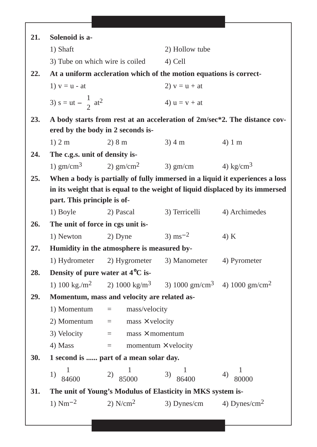| 21.        | Solenoid is a-                                |                                                                                                          |                     |                                                                               |
|------------|-----------------------------------------------|----------------------------------------------------------------------------------------------------------|---------------------|-------------------------------------------------------------------------------|
|            | 1) Shaft                                      |                                                                                                          | 2) Hollow tube      |                                                                               |
|            |                                               | 3) Tube on which wire is coiled                                                                          | 4) Cell             |                                                                               |
| 22.        |                                               | At a uniform accleration which of the motion equations is correct-                                       |                     |                                                                               |
|            | 1) $v = u - at$                               |                                                                                                          | 2) $v = u + at$     |                                                                               |
|            |                                               |                                                                                                          |                     |                                                                               |
|            | 3) s = ut $-\frac{1}{2}$ at <sup>2</sup>      |                                                                                                          | 4) $u = v + at$     |                                                                               |
| 23.        |                                               |                                                                                                          |                     | A body starts from rest at an acceleration of 2m/sec*2. The distance cov-     |
|            |                                               | ered by the body in 2 seconds is-                                                                        |                     |                                                                               |
|            | $1)$ 2 m                                      | 2) 8 m                                                                                                   | 3)4 m               | 4)1 m                                                                         |
| 24.        | The c.g.s. unit of density is-                |                                                                                                          |                     |                                                                               |
|            |                                               | 1) gm/cm <sup>3</sup> 2) gm/cm <sup>2</sup> 3) gm/cm 4) kg/cm <sup>3</sup>                               |                     |                                                                               |
| 25.        |                                               |                                                                                                          |                     | When a body is partially of fully immersed in a liquid it experiences a loss  |
|            |                                               |                                                                                                          |                     | in its weight that is equal to the weight of liquid displaced by its immersed |
|            | part. This principle is of-                   |                                                                                                          |                     |                                                                               |
|            | 1) Boyle                                      | 2) Pascal                                                                                                | 3) Terricelli       | 4) Archimedes                                                                 |
| 26.        | The unit of force in cgs unit is-             |                                                                                                          | 3) $\text{ms}^{-2}$ |                                                                               |
| 27.        | 1) Newton                                     | 2) Dyne<br>Humidity in the atmosphere is measured by-                                                    |                     | 4) K                                                                          |
|            |                                               |                                                                                                          |                     | 4) Pyrometer                                                                  |
| 28.        | Density of pure water at 4 <sup>o</sup> C is- | 1) Hydrometer 2) Hygrometer 3) Manometer                                                                 |                     |                                                                               |
|            |                                               | 1) 100 kg/m <sup>2</sup> 2) 1000 kg/m <sup>3</sup> 3) 1000 gm/cm <sup>3</sup> 4) 1000 gm/cm <sup>2</sup> |                     |                                                                               |
| 29.        |                                               | Momentum, mass and velocity are related as-                                                              |                     |                                                                               |
|            |                                               | 1) Momentum $=$ mass/velocity                                                                            |                     |                                                                               |
|            |                                               | 2) Momentum $=$ mass $\times$ velocity                                                                   |                     |                                                                               |
|            |                                               | 3) Velocity $=$ mass $\times$ momentum                                                                   |                     |                                                                               |
|            |                                               | 4) Mass $=$ momentum $\times$ velocity                                                                   |                     |                                                                               |
| <b>30.</b> | 1 second is  part of a mean solar day.        |                                                                                                          |                     |                                                                               |
|            |                                               | 1) $\frac{1}{84600}$ 2) $\frac{1}{85000}$ 3) $\frac{1}{86400}$ 4) $\frac{1}{80000}$                      |                     |                                                                               |
|            |                                               |                                                                                                          |                     |                                                                               |
| 31.        |                                               | The unit of Young's Modulus of Elasticity in MKS system is-                                              |                     |                                                                               |
|            | 1) $Nm^{-2}$                                  | 2) N/cm <sup>2</sup> 3) Dynes/cm 4) Dynes/cm <sup>2</sup>                                                |                     |                                                                               |
|            |                                               |                                                                                                          |                     |                                                                               |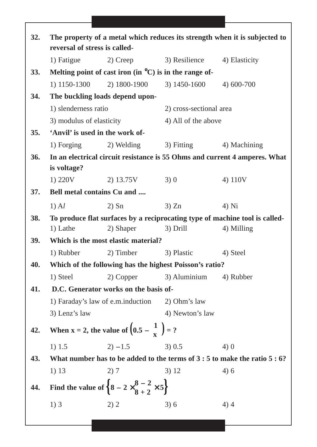| The property of a metal which reduces its strength when it is subjected to |            |                                                                                                                                                                                                                                 |                                                                                                                                                                                                                                                                                                                                                                                                                                                                                                                                                                                                         |  |
|----------------------------------------------------------------------------|------------|---------------------------------------------------------------------------------------------------------------------------------------------------------------------------------------------------------------------------------|---------------------------------------------------------------------------------------------------------------------------------------------------------------------------------------------------------------------------------------------------------------------------------------------------------------------------------------------------------------------------------------------------------------------------------------------------------------------------------------------------------------------------------------------------------------------------------------------------------|--|
|                                                                            |            |                                                                                                                                                                                                                                 |                                                                                                                                                                                                                                                                                                                                                                                                                                                                                                                                                                                                         |  |
|                                                                            |            |                                                                                                                                                                                                                                 | 4) Elasticity                                                                                                                                                                                                                                                                                                                                                                                                                                                                                                                                                                                           |  |
|                                                                            |            |                                                                                                                                                                                                                                 |                                                                                                                                                                                                                                                                                                                                                                                                                                                                                                                                                                                                         |  |
|                                                                            |            |                                                                                                                                                                                                                                 | 4) 600-700                                                                                                                                                                                                                                                                                                                                                                                                                                                                                                                                                                                              |  |
|                                                                            |            |                                                                                                                                                                                                                                 |                                                                                                                                                                                                                                                                                                                                                                                                                                                                                                                                                                                                         |  |
|                                                                            |            | 2) cross-sectional area                                                                                                                                                                                                         |                                                                                                                                                                                                                                                                                                                                                                                                                                                                                                                                                                                                         |  |
|                                                                            |            | 4) All of the above                                                                                                                                                                                                             |                                                                                                                                                                                                                                                                                                                                                                                                                                                                                                                                                                                                         |  |
|                                                                            |            |                                                                                                                                                                                                                                 |                                                                                                                                                                                                                                                                                                                                                                                                                                                                                                                                                                                                         |  |
|                                                                            |            | 3) Fitting                                                                                                                                                                                                                      | 4) Machining                                                                                                                                                                                                                                                                                                                                                                                                                                                                                                                                                                                            |  |
|                                                                            |            |                                                                                                                                                                                                                                 |                                                                                                                                                                                                                                                                                                                                                                                                                                                                                                                                                                                                         |  |
| is voltage?                                                                |            |                                                                                                                                                                                                                                 |                                                                                                                                                                                                                                                                                                                                                                                                                                                                                                                                                                                                         |  |
| 1) 220V                                                                    | 2) 13.75V  | 3)0                                                                                                                                                                                                                             | 4) 110V                                                                                                                                                                                                                                                                                                                                                                                                                                                                                                                                                                                                 |  |
|                                                                            |            |                                                                                                                                                                                                                                 |                                                                                                                                                                                                                                                                                                                                                                                                                                                                                                                                                                                                         |  |
| $1)$ Al                                                                    | $2)$ Sn    | 3) Zn                                                                                                                                                                                                                           | $4)$ Ni                                                                                                                                                                                                                                                                                                                                                                                                                                                                                                                                                                                                 |  |
|                                                                            |            |                                                                                                                                                                                                                                 |                                                                                                                                                                                                                                                                                                                                                                                                                                                                                                                                                                                                         |  |
| 1) Lathe                                                                   | 2) Shaper  | 3) Drill                                                                                                                                                                                                                        | 4) Milling                                                                                                                                                                                                                                                                                                                                                                                                                                                                                                                                                                                              |  |
| Which is the most elastic material?                                        |            |                                                                                                                                                                                                                                 |                                                                                                                                                                                                                                                                                                                                                                                                                                                                                                                                                                                                         |  |
| 1) Rubber                                                                  |            | 3) Plastic                                                                                                                                                                                                                      | 4) Steel                                                                                                                                                                                                                                                                                                                                                                                                                                                                                                                                                                                                |  |
|                                                                            |            |                                                                                                                                                                                                                                 |                                                                                                                                                                                                                                                                                                                                                                                                                                                                                                                                                                                                         |  |
| 1) Steel                                                                   | 2) Copper  | 3) Aluminium                                                                                                                                                                                                                    | 4) Rubber                                                                                                                                                                                                                                                                                                                                                                                                                                                                                                                                                                                               |  |
|                                                                            |            |                                                                                                                                                                                                                                 |                                                                                                                                                                                                                                                                                                                                                                                                                                                                                                                                                                                                         |  |
|                                                                            |            |                                                                                                                                                                                                                                 |                                                                                                                                                                                                                                                                                                                                                                                                                                                                                                                                                                                                         |  |
| 3) Lenz's law                                                              |            | 4) Newton's law                                                                                                                                                                                                                 |                                                                                                                                                                                                                                                                                                                                                                                                                                                                                                                                                                                                         |  |
|                                                                            |            |                                                                                                                                                                                                                                 |                                                                                                                                                                                                                                                                                                                                                                                                                                                                                                                                                                                                         |  |
| 1) 1.5                                                                     | $2) - 1.5$ | 3) 0.5                                                                                                                                                                                                                          | 4)0                                                                                                                                                                                                                                                                                                                                                                                                                                                                                                                                                                                                     |  |
|                                                                            |            |                                                                                                                                                                                                                                 |                                                                                                                                                                                                                                                                                                                                                                                                                                                                                                                                                                                                         |  |
| 1) 13                                                                      | 2)7        | 3) 12                                                                                                                                                                                                                           | 4)6                                                                                                                                                                                                                                                                                                                                                                                                                                                                                                                                                                                                     |  |
| Find the value of $\left\{8-2\times\frac{8-2}{8+2}\times5\right\}$         |            |                                                                                                                                                                                                                                 |                                                                                                                                                                                                                                                                                                                                                                                                                                                                                                                                                                                                         |  |
| 1)3                                                                        | 2) 2       | 3)6                                                                                                                                                                                                                             | 4)4                                                                                                                                                                                                                                                                                                                                                                                                                                                                                                                                                                                                     |  |
|                                                                            | 1) Fatigue | reversal of stress is called-<br>2) Creep<br>1) 1150-1300<br>The buckling loads depend upon-<br>1) slenderness ratio<br>3) modulus of elasticity<br>'Anvil' is used in the work of-<br>1) Forging<br>Bell metal contains Cu and | 3) Resilience<br>Melting point of cast iron (in $^{\circ}$ C) is in the range of-<br>2) 1800-1900<br>3) 1450-1600<br>2) Welding<br>In an electrical circuit resistance is 55 Ohms and current 4 amperes. What<br>To produce flat surfaces by a reciprocating type of machine tool is called-<br>2) Timber<br>Which of the following has the highest Poisson's ratio?<br>D.C. Generator works on the basis of-<br>1) Faraday's law of e.m.induction 2) Ohm's law<br>When $x = 2$ , the value of $(0.5 - \frac{1}{x}) = ?$<br>What number has to be added to the terms of $3:5$ to make the ratio $5:6$ ? |  |

٦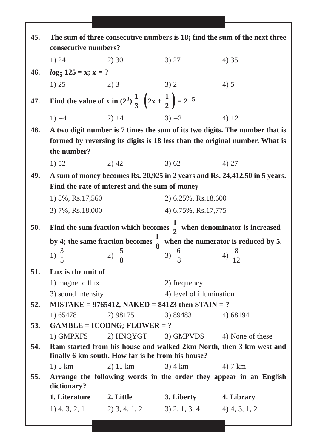| 45.        | The sum of three consecutive numbers is 18; find the sum of the next three<br>consecutive numbers?                       |                                                                                       |                                          |                                                                             |  |
|------------|--------------------------------------------------------------------------------------------------------------------------|---------------------------------------------------------------------------------------|------------------------------------------|-----------------------------------------------------------------------------|--|
|            | 1) 24                                                                                                                    | 2)30                                                                                  | 3) 27                                    | 4) 35                                                                       |  |
| 46.        | $log_5 125 = x; x = ?$                                                                                                   |                                                                                       |                                          |                                                                             |  |
|            | 1) 25                                                                                                                    | 2)3                                                                                   | 3)2                                      | 4) 5                                                                        |  |
| 47.        |                                                                                                                          | Find the value of x in $(2^2)$ $\frac{1}{3}$ $\left(2x + \frac{1}{2}\right) = 2^{-5}$ |                                          |                                                                             |  |
|            | $1) -4$                                                                                                                  | $3) - 2$<br>$2) +4$                                                                   |                                          | $4) +2$                                                                     |  |
| 48.        |                                                                                                                          |                                                                                       |                                          | A two digit number is 7 times the sum of its two digits. The number that is |  |
|            |                                                                                                                          |                                                                                       |                                          | formed by reversing its digits is 18 less than the original number. What is |  |
|            | the number?                                                                                                              |                                                                                       |                                          |                                                                             |  |
|            | 1) 52                                                                                                                    | $2)$ 42                                                                               | 3)62                                     | 4) 27                                                                       |  |
| 49.        |                                                                                                                          |                                                                                       |                                          | A sum of money becomes Rs. 20,925 in 2 years and Rs. 24,412.50 in 5 years.  |  |
|            | Find the rate of interest and the sum of money                                                                           |                                                                                       |                                          |                                                                             |  |
|            | 1) 8%, Rs.17,560                                                                                                         |                                                                                       | 2) 6.25%, Rs.18,600                      |                                                                             |  |
|            | 4) 6.75%, Rs.17,775<br>3) 7%, Rs.18,000                                                                                  |                                                                                       |                                          |                                                                             |  |
| 50.        | Find the sum fraction which becomes $\frac{1}{2}$ when denominator is increased                                          |                                                                                       |                                          |                                                                             |  |
|            | by 4; the same fraction becomes $\frac{1}{8}$ when the numerator is reduced by 5.                                        |                                                                                       |                                          |                                                                             |  |
|            | 1) $\frac{3}{5}$                                                                                                         | 2) $\frac{5}{8}$                                                                      | 3) $\frac{6}{8}$                         | 4) $\frac{8}{12}$                                                           |  |
|            |                                                                                                                          |                                                                                       |                                          |                                                                             |  |
| 51.        | Lux is the unit of                                                                                                       |                                                                                       |                                          |                                                                             |  |
|            | 1) magnetic flux<br>3) sound intensity                                                                                   |                                                                                       | 2) frequency<br>4) level of illumination |                                                                             |  |
| 52.        |                                                                                                                          | $MISTAKE = 9765412, NAKED = 84123$ then $STAIN = ?$                                   |                                          |                                                                             |  |
|            | 1) 65478                                                                                                                 | 2) 98175                                                                              | 3) 89483                                 | 4) 68194                                                                    |  |
| <b>53.</b> |                                                                                                                          | $GAMBLE = ICONG; FLOWER = ?$                                                          |                                          |                                                                             |  |
|            | 1) GMPXFS                                                                                                                |                                                                                       | 2) HNQYGT 3) GMPVDS 4) None of these     |                                                                             |  |
| 54.        | Ram started from his house and walked 2km North, then 3 km west and<br>finally 6 km south. How far is he from his house? |                                                                                       |                                          |                                                                             |  |
|            | $1)$ 5 km                                                                                                                | $2)$ 11 km                                                                            | $3)$ 4 km $4)$ 7 km                      |                                                                             |  |
| 55.        | dictionary?                                                                                                              |                                                                                       |                                          | Arrange the following words in the order they appear in an English          |  |
|            |                                                                                                                          | 1. Literature 2. Little                                                               | 3. Liberty                               | 4. Library                                                                  |  |
|            |                                                                                                                          | 1) 4, 3, 2, 1 2) 3, 4, 1, 2 3) 2, 1, 3, 4 4) 4, 3, 1, 2                               |                                          |                                                                             |  |
|            |                                                                                                                          |                                                                                       |                                          |                                                                             |  |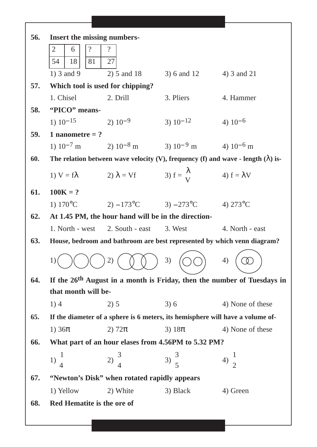| 56. | <b>Insert the missing numbers-</b>                                      |                                                                 |                 |                                                                                           |  |
|-----|-------------------------------------------------------------------------|-----------------------------------------------------------------|-----------------|-------------------------------------------------------------------------------------------|--|
|     | $\overline{?}$<br>$\overline{2}$<br>6                                   | $\overline{\cdot}$                                              |                 |                                                                                           |  |
|     | 54<br>18<br>81                                                          | 27                                                              |                 |                                                                                           |  |
|     | 1) $3$ and $9$                                                          | $2)$ 5 and 18                                                   | 3) 6 and 12     | 4) 3 and 21                                                                               |  |
| 57. |                                                                         | Which tool is used for chipping?                                |                 |                                                                                           |  |
|     | 1. Chisel                                                               | 2. Drill                                                        | 3. Pliers       | 4. Hammer                                                                                 |  |
| 58. | "PICO" means-                                                           |                                                                 |                 |                                                                                           |  |
|     | 1) $10^{-15}$                                                           | $2) 10^{-9}$                                                    | $3) 10^{-12}$   | 4) $10^{-6}$                                                                              |  |
| 59. | 1 nanometre = ?                                                         |                                                                 |                 |                                                                                           |  |
|     |                                                                         | 1) $10^{-7}$ m 2) $10^{-8}$ m 3) $10^{-9}$ m 4) $10^{-6}$ m     |                 |                                                                                           |  |
| 60. |                                                                         |                                                                 |                 | The relation between wave velocity (V), frequency (f) and wave - length ( $\lambda$ ) is- |  |
|     | 1) $V = f \lambda$                                                      | 2) $\lambda = Vf$ 3) $f = \frac{\lambda}{V}$ 4) $f = \lambda V$ |                 |                                                                                           |  |
| 61. | $100K = ?$                                                              |                                                                 |                 |                                                                                           |  |
|     | 1) $170^{\circ}$ C                                                      | 2) $-173^{\circ}$ C 3) $-273^{\circ}$ C 4) $273^{\circ}$ C      |                 |                                                                                           |  |
| 62. |                                                                         | At 1.45 PM, the hour hand will be in the direction-             |                 |                                                                                           |  |
|     | 1. North - west                                                         | 2. South - east                                                 | 3. West         | 4. North - east                                                                           |  |
| 63. | House, bedroom and bathroom are best represented by which venn diagram? |                                                                 |                 |                                                                                           |  |
|     | 1)                                                                      | (2)                                                             | 3)              | 4)                                                                                        |  |
|     |                                                                         |                                                                 |                 |                                                                                           |  |
| 64. |                                                                         |                                                                 |                 | If the 26 <sup>th</sup> August in a month is Friday, then the number of Tuesdays in       |  |
|     | that month will be-                                                     |                                                                 |                 |                                                                                           |  |
|     | 1)4                                                                     | 2) 5                                                            | 3)6             | 4) None of these                                                                          |  |
| 65. |                                                                         |                                                                 |                 | If the diameter of a sphere is 6 meters, its hemisphere will have a volume of-            |  |
|     | 1) $36\pi$                                                              | 2) $72\pi$                                                      | 3) $18\pi$      | 4) None of these                                                                          |  |
| 66. | What part of an hour elases from 4.56PM to 5.32 PM?                     |                                                                 |                 |                                                                                           |  |
|     | $1) \frac{1}{4}$                                                        | $2)\frac{3}{4}$                                                 | $3)\frac{3}{5}$ | $(4)\frac{1}{2}$                                                                          |  |
|     |                                                                         |                                                                 |                 |                                                                                           |  |
| 67. |                                                                         | "Newton's Disk" when rotated rapidly appears                    |                 |                                                                                           |  |
|     | 1) Yellow                                                               | 2) White                                                        | 3) Black        | 4) Green                                                                                  |  |
| 68. | Red Hematite is the ore of                                              |                                                                 |                 |                                                                                           |  |
|     |                                                                         |                                                                 |                 |                                                                                           |  |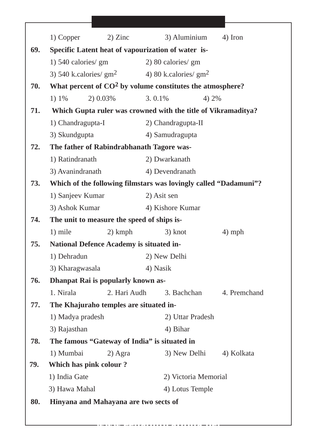|     | 1) Copper                                          | $2)$ Zinc    | 3) Aluminium                                                     | 4) Iron      |  |
|-----|----------------------------------------------------|--------------|------------------------------------------------------------------|--------------|--|
| 69. | Specific Latent heat of vapourization of water is- |              |                                                                  |              |  |
|     | 1) 540 calories/ gm                                |              | 2) 80 calories/ gm                                               |              |  |
|     |                                                    |              | 3) 540 k.calories/ $gm2$ 4) 80 k.calories/ $gm2$                 |              |  |
| 70. |                                                    |              | What percent of $CO2$ by volume constitutes the atmosphere?      |              |  |
|     | 1) $1\%$                                           | 2) 0.03%     | 3.0.1%                                                           | 4) 2%        |  |
| 71. |                                                    |              | Which Gupta ruler was crowned with the title of Vikramaditya?    |              |  |
|     | 1) Chandragupta-I                                  |              | 2) Chandragupta-II                                               |              |  |
|     | 3) Skundgupta                                      |              | 4) Samudragupta                                                  |              |  |
| 72. |                                                    |              | The father of Rabindrabhanath Tagore was-                        |              |  |
|     | 1) Ratindranath                                    |              | 2) Dwarkanath                                                    |              |  |
|     | 3) Avanindranath                                   |              | 4) Devendranath                                                  |              |  |
| 73. |                                                    |              | Which of the following filmstars was lovingly called "Dadamuni"? |              |  |
|     | 1) Sanjeev Kumar                                   |              | 2) Asit sen                                                      |              |  |
|     | 3) Ashok Kumar                                     |              | 4) Kishore Kumar                                                 |              |  |
| 74. | The unit to measure the speed of ships is-         |              |                                                                  |              |  |
|     | 1) mile                                            | $2)$ kmph    | 3) knot                                                          | $4)$ mph     |  |
| 75. | <b>National Defence Academy is situated in-</b>    |              |                                                                  |              |  |
|     | 1) Dehradun                                        |              | 2) New Delhi                                                     |              |  |
|     | 3) Kharagwasala                                    |              | 4) Nasik                                                         |              |  |
| 76. | <b>Dhanpat Rai is popularly known as-</b>          |              |                                                                  |              |  |
|     | 1. Nirala                                          | 2. Hari Audh | 3. Bachchan                                                      | 4. Premchand |  |
| 77. | The Khajuraho temples are situated in-             |              |                                                                  |              |  |
|     | 1) Madya pradesh                                   |              | 2) Uttar Pradesh                                                 |              |  |
|     | 3) Rajasthan                                       |              | 4) Bihar                                                         |              |  |
| 78. |                                                    |              | The famous "Gateway of India" is situated in                     |              |  |
|     | 1) Mumbai                                          | 2) Agra      | 3) New Delhi                                                     | 4) Kolkata   |  |
| 79. | Which has pink colour?                             |              |                                                                  |              |  |
|     | 1) India Gate                                      |              | 2) Victoria Memorial                                             |              |  |
|     | 3) Hawa Mahal                                      |              | 4) Lotus Temple                                                  |              |  |
| 80. | Hinyana and Mahayana are two sects of              |              |                                                                  |              |  |
|     |                                                    |              |                                                                  |              |  |
|     |                                                    |              |                                                                  |              |  |